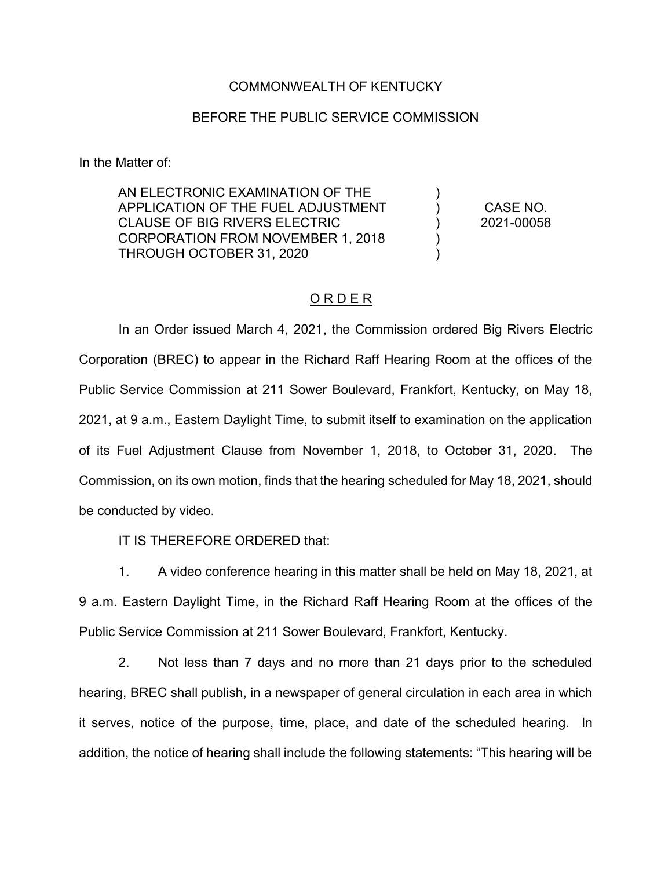## COMMONWEALTH OF KENTUCKY

## BEFORE THE PUBLIC SERVICE COMMISSION

In the Matter of:

AN ELECTRONIC EXAMINATION OF THE APPLICATION OF THE FUEL ADJUSTMENT CLAUSE OF BIG RIVERS ELECTRIC CORPORATION FROM NOVEMBER 1, 2018 THROUGH OCTOBER 31, 2020 ) ) ) ) )

CASE NO. 2021-00058

## O R D E R

In an Order issued March 4, 2021, the Commission ordered Big Rivers Electric Corporation (BREC) to appear in the Richard Raff Hearing Room at the offices of the Public Service Commission at 211 Sower Boulevard, Frankfort, Kentucky, on May 18, 2021, at 9 a.m., Eastern Daylight Time, to submit itself to examination on the application of its Fuel Adjustment Clause from November 1, 2018, to October 31, 2020. The Commission, on its own motion, finds that the hearing scheduled for May 18, 2021, should be conducted by video.

IT IS THEREFORE ORDERED that:

1. A video conference hearing in this matter shall be held on May 18, 2021, at 9 a.m. Eastern Daylight Time, in the Richard Raff Hearing Room at the offices of the Public Service Commission at 211 Sower Boulevard, Frankfort, Kentucky.

2. Not less than 7 days and no more than 21 days prior to the scheduled hearing, BREC shall publish, in a newspaper of general circulation in each area in which it serves, notice of the purpose, time, place, and date of the scheduled hearing. In addition, the notice of hearing shall include the following statements: "This hearing will be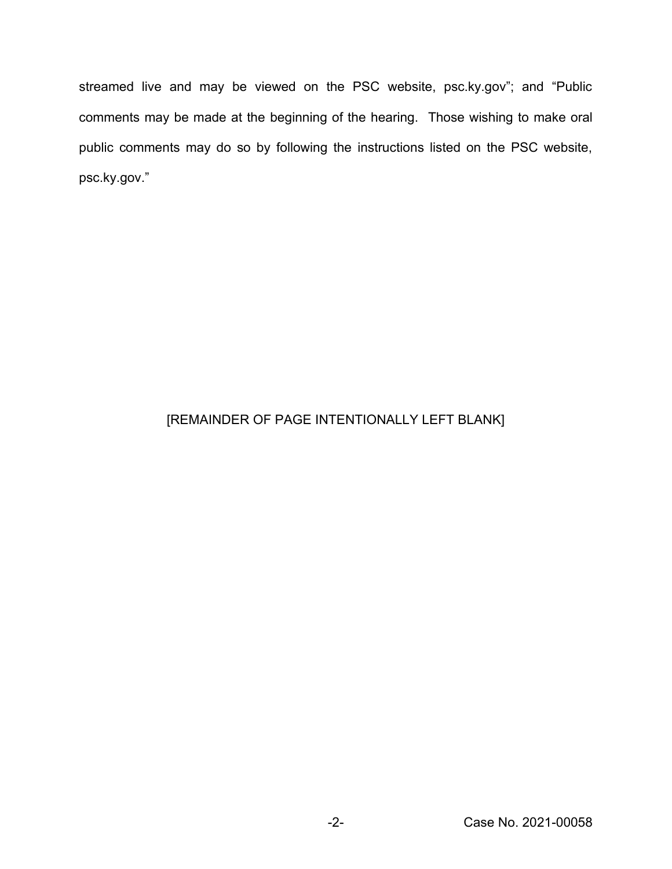streamed live and may be viewed on the PSC website, psc.ky.gov"; and "Public comments may be made at the beginning of the hearing. Those wishing to make oral public comments may do so by following the instructions listed on the PSC website, psc.ky.gov."

## [REMAINDER OF PAGE INTENTIONALLY LEFT BLANK]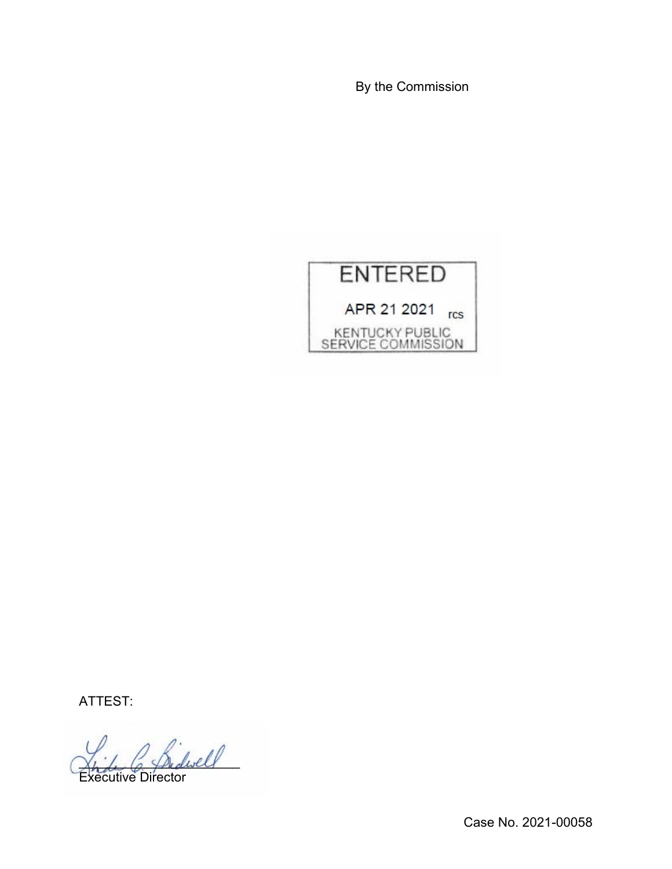By the Commission



ATTEST:

2 Bidwell Executive Director

Case No. 2021-00058